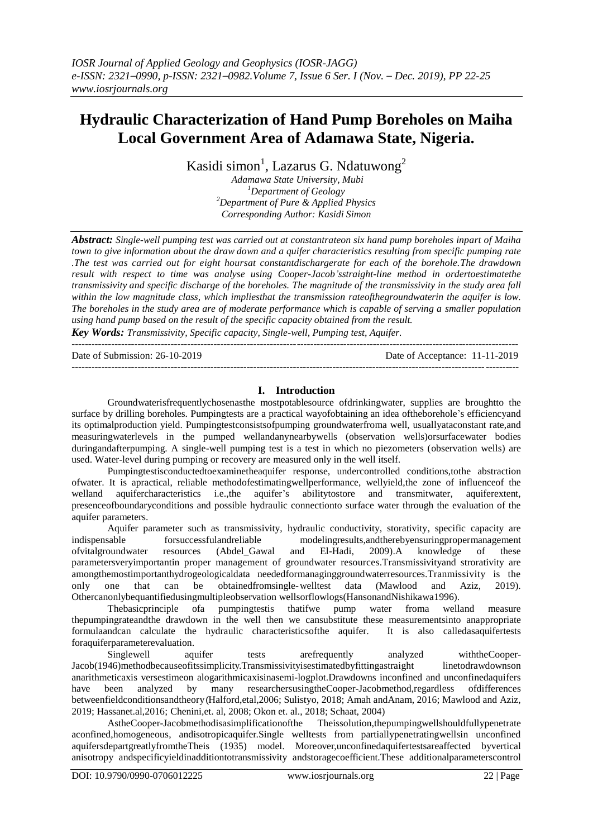# **Hydraulic Characterization of Hand Pump Boreholes on Maiha Local Government Area of Adamawa State, Nigeria.**

Kasidi simon<sup>1</sup>, Lazarus G. Ndatuwong<sup>2</sup>

*Adamawa State University, Mubi <sup>1</sup>Department of Geology <sup>2</sup>Department of Pure & Applied Physics Corresponding Author: Kasidi Simon*

*Abstract: Single-well pumping test was carried out at constantrateon six hand pump boreholes inpart of Maiha town to give information about the draw down and a quifer characteristics resulting from specific pumping rate .The test was carried out for eight hoursat constantdischargerate for each of the borehole.The drawdown result with respect to time was analyse using Cooper-Jacob'sstraight-line method in ordertoestimatethe transmissivity and specific discharge of the boreholes. The magnitude of the transmissivity in the study area fall*  within the low magnitude class, which impliesthat the transmission rateofthegroundwaterin the aquifer is low. *The boreholes in the study area are of moderate performance which is capable of serving a smaller population using hand pump based on the result of the specific capacity obtained from the result.*

*Key Words: Transmissivity, Specific capacity, Single-well, Pumping test, Aquifer.* ---------------------------------------------------------------------------------------------------------------------------------------

Date of Submission: 26-10-2019 Date of Acceptance: 11-11-2019

---------------------------------------------------------------------------------------------------------------------------------------

## **I. Introduction**

Groundwaterisfrequentlychosenasthe mostpotablesource ofdrinkingwater, supplies are broughtto the surface by drilling boreholes. Pumpingtests are a practical wayofobtaining an idea oftheborehole's efficiencyand its optimalproduction yield. Pumpingtestconsistsofpumping groundwaterfroma well, usuallyataconstant rate,and measuringwaterlevels in the pumped wellandanynearbywells (observation wells)orsurfacewater bodies duringandafterpumping. A single-well pumping test is a test in which no piezometers (observation wells) are used. Water-level during pumping or recovery are measured only in the well itself.

Pumpingtestisconductedtoexaminetheaquifer response, undercontrolled conditions,tothe abstraction ofwater. It is apractical, reliable methodofestimatingwellperformance, wellyield,the zone of influenceof the welland aquifercharacteristics i.e.,the aquifer's abilitytostore and transmitwater, aquiferextent, presenceofboundaryconditions and possible hydraulic connectionto surface water through the evaluation of the aquifer parameters.

Aquifer parameter such as transmissivity, hydraulic conductivity, storativity, specific capacity are indispensable forsuccessfulandreliable modelingresults,andtherebyensuringpropermanagement ofvitalgroundwater resources (Abdel\_Gawal and El-Hadi, 2009).A knowledge of these parametersveryimportantin proper management of groundwater resources.Transmissivityand strorativity are amongthemostimportanthydrogeologicaldata neededformanaginggroundwaterresources.Tranmissivity is the only one that can be obtainedfromsingle-welltest data (Mawlood and Aziz, 2019). Othercanonlybequantifiedusingmultipleobservation wellsorflowlogs(HansonandNishikawa1996).

Thebasicprinciple ofa pumpingtestis thatifwe pump water froma welland measure thepumpingrateandthe drawdown in the well then we cansubstitute these measurementsinto anappropriate formulaandcan calculate the hydraulic characteristicsofthe aquifer. It is also calledasaquifertests foraquiferparameterevaluation.

Singlewell aquifer tests arefrequently analyzed withtheCooper-Jacob(1946)methodbecauseofitssimplicity.Transmissivityisestimatedbyfittingastraight linetodrawdownson anarithmeticaxis versestimeon alogarithmicaxisinasemi-logplot.Drawdowns inconfined and unconfinedaquifers have been analyzed by many researchersusingtheCooper-Jacobmethod,regardless ofdifferences betweenfieldconditionsandtheory(Halford,etal,2006; Sulistyo, 2018; Amah andAnam, 2016; Mawlood and Aziz, 2019; Hassanet.al,2016; Chenini,et. al, 2008; Okon et. al., 2018; Schaat, 2004)

AstheCooper-Jacobmethodisasimplificationofthe Theissolution,thepumpingwellshouldfullypenetrate aconfined,homogeneous, andisotropicaquifer.Single welltests from partiallypenetratingwellsin unconfined aquifersdepartgreatlyfromtheTheis (1935) model. Moreover,unconfinedaquifertestsareaffected byvertical anisotropy andspecificyieldinadditiontotransmissivity andstoragecoefficient.These additionalparameterscontrol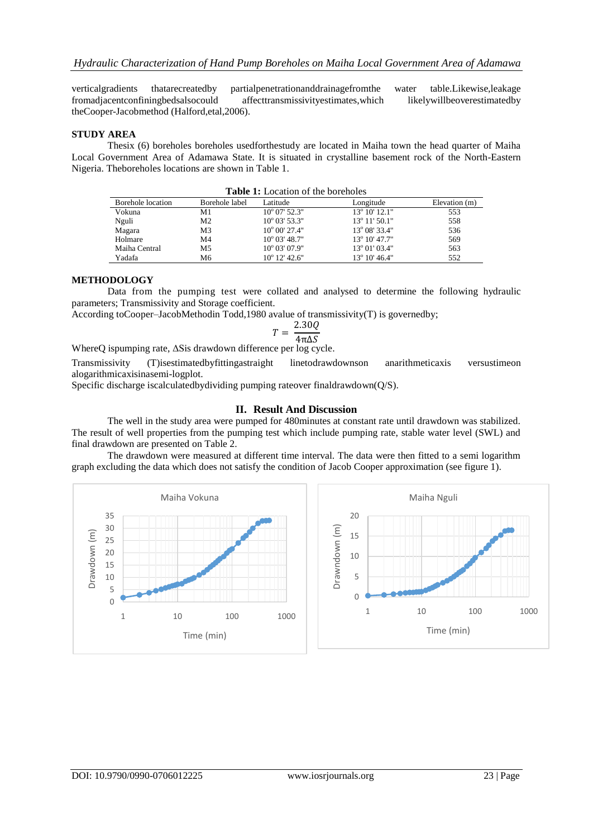verticalgradients thatarecreatedby partialpenetrationanddrainagefromthe water table.Likewise,leakage fromadjacentconfiningbedsalsocould affecttransmissivityestimates,which likelywillbeoverestimatedby theCooper-Jacobmethod (Halford,etal,2006).

#### **STUDY AREA**

Thesix (6) boreholes boreholes usedforthestudy are located in Maiha town the head quarter of Maiha Local Government Area of Adamawa State. It is situated in crystalline basement rock of the North-Eastern Nigeria. Theboreholes locations are shown in Table 1.

| <b>Table 1:</b> Location of the boreholes |                |                        |                        |               |  |  |  |
|-------------------------------------------|----------------|------------------------|------------------------|---------------|--|--|--|
| Borehole location                         | Borehole label | Latitude               | Longitude              | Elevation (m) |  |  |  |
| Vokuna                                    | M1             | $10^{\circ}$ 07' 52.3" | $13^{\circ} 10' 12.1"$ | 553           |  |  |  |
| Nguli                                     | M <sub>2</sub> | $10^{\circ}$ 03' 53.3" | $13^{\circ}$ 11' 50.1" | 558           |  |  |  |
| Magara                                    | M <sub>3</sub> | $10^{\circ}$ 00' 27.4" | 13° 08′ 33.4″          | 536           |  |  |  |
| Holmare                                   | M4             | $10^{\circ}$ 03' 48.7" | $13^{\circ}$ 10' 47.7" | 569           |  |  |  |
| Maiha Central                             | M5             | $10^{\circ}$ 03' 07.9" | $13^{\circ}$ 01' 03.4" | 563           |  |  |  |
| Yadafa                                    | М6             | $10^{\circ}$ 12' 42.6" | 13° 10' 46.4"          | 552           |  |  |  |

#### **METHODOLOGY**

Data from the pumping test were collated and analysed to determine the following hydraulic parameters; Transmissivity and Storage coefficient.

According toCooper–JacobMethodin Todd,1980 avalue of transmissivity(T) is governedby;

$$
T = \frac{2.30Q}{4\pi\Delta S}
$$

WhereQ ispumping rate, ΔSis drawdown difference per log cycle.

Transmissivity (T)isestimatedbyfittingastraight linetodrawdownson anarithmeticaxis versustimeon alogarithmicaxisinasemi-logplot.

Specific discharge iscalculatedbydividing pumping rateover finaldrawdown(Q/S).

### **II. Result And Discussion**

The well in the study area were pumped for 480minutes at constant rate until drawdown was stabilized. The result of well properties from the pumping test which include pumping rate, stable water level (SWL) and final drawdown are presented on Table 2.

The drawdown were measured at different time interval. The data were then fitted to a semi logarithm graph excluding the data which does not satisfy the condition of Jacob Cooper approximation (see figure 1).



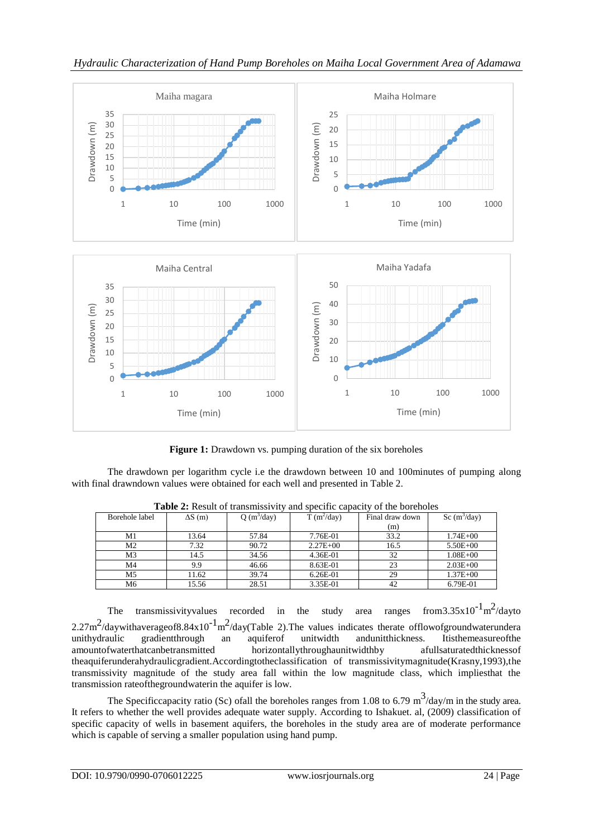

*Hydraulic Characterization of Hand Pump Boreholes on Maiha Local Government Area of Adamawa* 

**Figure 1:** Drawdown vs. pumping duration of the six boreholes

The drawdown per logarithm cycle i.e the drawdown between 10 and 100minutes of pumping along with final drawndown values were obtained for each well and presented in Table 2.

| $\sim$ 0.000 $\sim$ 0.000 0.000 0.000 0.000 0.000 0.000 0.000 0.000 0.000 0.000 0.000 0.000 0.000 0.000 0.000 0.000 0.000 0.000 0.000 0.000 0.000 0.000 0.000 0.000 0.000 0.000 0.000 0.000 0.000 0.000 0.000 0.000 0.000 0.000 0<br>and boothic capacity<br>$01 \times 001$ |                |              |              |                 |                |  |  |  |
|------------------------------------------------------------------------------------------------------------------------------------------------------------------------------------------------------------------------------------------------------------------------------|----------------|--------------|--------------|-----------------|----------------|--|--|--|
| Borehole label                                                                                                                                                                                                                                                               | $\Delta S$ (m) | $Q(m^3/day)$ | $T(m^2/day)$ | Final draw down | Sc $(m^3/day)$ |  |  |  |
|                                                                                                                                                                                                                                                                              |                |              |              | (m)             |                |  |  |  |
| M1                                                                                                                                                                                                                                                                           | 13.64          | 57.84        | 7.76E-01     | 33.2            | $1.74E + 00$   |  |  |  |
| M <sub>2</sub>                                                                                                                                                                                                                                                               | 7.32           | 90.72        | $2.27E + 00$ | 16.5            | $5.50E + 00$   |  |  |  |
| M <sub>3</sub>                                                                                                                                                                                                                                                               | 14.5           | 34.56        | 4.36E-01     | 32              | $1.08E + 00$   |  |  |  |
| M <sub>4</sub>                                                                                                                                                                                                                                                               | 9.9            | 46.66        | 8.63E-01     | 23              | $2.03E + 00$   |  |  |  |
| M5                                                                                                                                                                                                                                                                           | 11.62          | 39.74        | 6.26E-01     | 29              | $1.37E + 00$   |  |  |  |
| M <sub>6</sub>                                                                                                                                                                                                                                                               | 15.56          | 28.51        | 3.35E-01     | 42              | 6.79E-01       |  |  |  |

**Table 2:** Result of transmissivity and specific capacity of the boreholes

The transmissivityvalues recorded in the study area ranges  $^{2}$ /dayto 2.27m<sup>2</sup>/daywithaverageof8.84x10<sup>-1</sup>m<sup>2</sup>/day(Table 2). The values indicates therate offlowofgroundwaterundera unithydraulic gradientthrough an aquiferof unitwidth andunitthickness. Itisthemeasureofthe<br>amountofwaterthatcanbetransmitted horizontallythroughaunitwidthby afullsaturatedthicknessof horizontallythroughaunitwidthby afullsaturated thickness of theaquiferunderahydraulicgradient.Accordingtotheclassification of transmissivitymagnitude(Krasny,1993),the transmissivity magnitude of the study area fall within the low magnitude class, which impliesthat the transmission rateofthegroundwaterin the aquifer is low.

The Specificcapacity ratio (Sc) of all the boreholes ranges from 1.08 to 6.79 m<sup>3</sup>/day/m in the study area. It refers to whether the well provides adequate water supply. According to Ishakuet. al, (2009) classification of specific capacity of wells in basement aquifers, the boreholes in the study area are of moderate performance which is capable of serving a smaller population using hand pump.